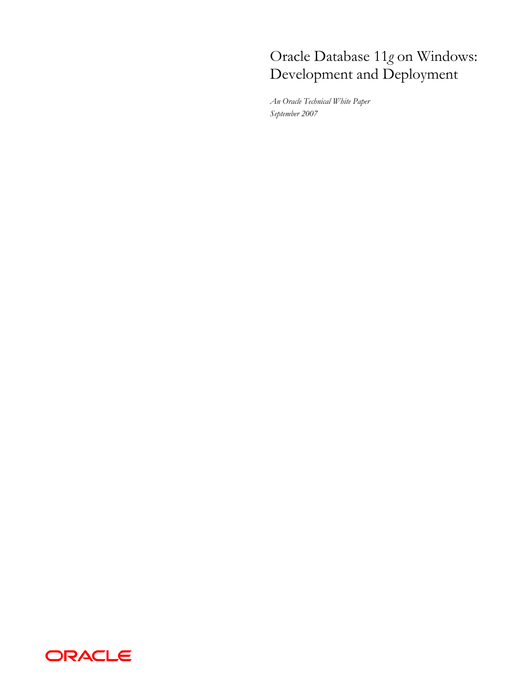# Oracle Database 11*g* on Windows: Development and Deployment

*An Oracle Technical White Paper September 2007* 

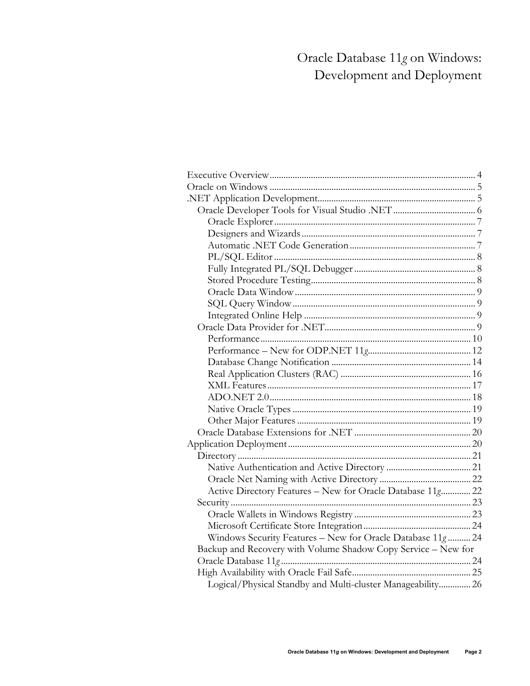# Oracle Database 11*g* on Windows: Development and Deployment

| Active Directory Features - New for Oracle Database 11g 22    |  |
|---------------------------------------------------------------|--|
|                                                               |  |
|                                                               |  |
|                                                               |  |
| Windows Security Features - New for Oracle Database 11g  24   |  |
| Backup and Recovery with Volume Shadow Copy Service - New for |  |
|                                                               |  |
|                                                               |  |
| Logical/Physical Standby and Multi-cluster Manageability 26   |  |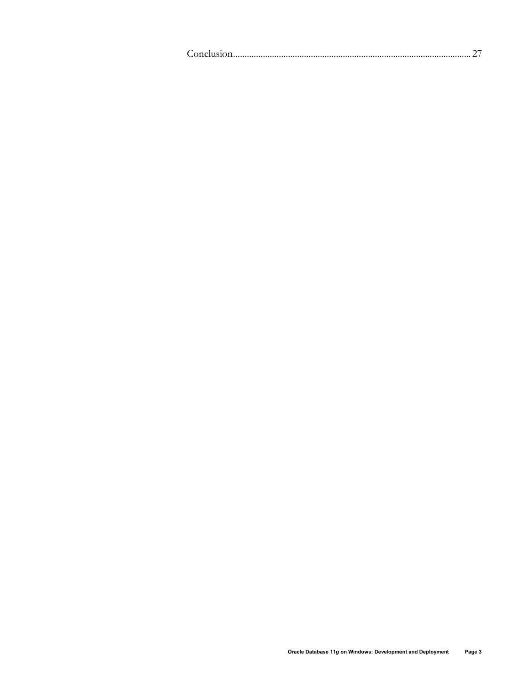| $\sim$ $\sim$ |
|---------------|
|---------------|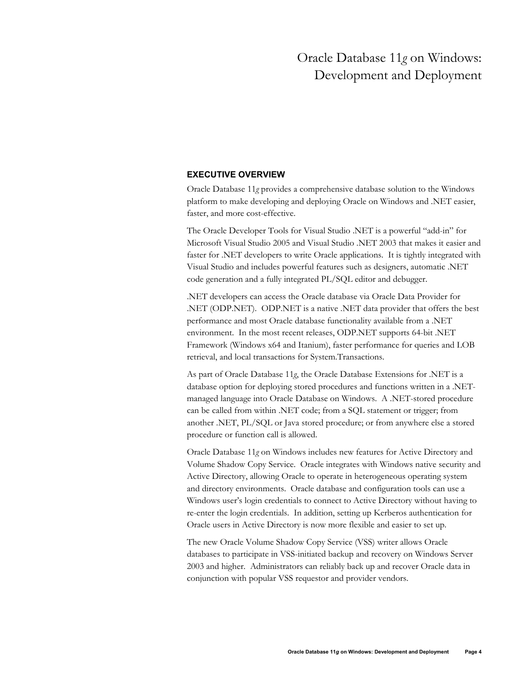# Oracle Database 11*g* on Windows: Development and Deployment

# **EXECUTIVE OVERVIEW**

Oracle Database 11*g* provides a comprehensive database solution to the Windows platform to make developing and deploying Oracle on Windows and .NET easier, faster, and more cost-effective.

The Oracle Developer Tools for Visual Studio .NET is a powerful "add-in" for Microsoft Visual Studio 2005 and Visual Studio .NET 2003 that makes it easier and faster for .NET developers to write Oracle applications. It is tightly integrated with Visual Studio and includes powerful features such as designers, automatic .NET code generation and a fully integrated PL/SQL editor and debugger.

.NET developers can access the Oracle database via Oracle Data Provider for .NET (ODP.NET). ODP.NET is a native .NET data provider that offers the best performance and most Oracle database functionality available from a .NET environment. In the most recent releases, ODP.NET supports 64-bit .NET Framework (Windows x64 and Itanium), faster performance for queries and LOB retrieval, and local transactions for System.Transactions.

As part of Oracle Database 11*g*, the Oracle Database Extensions for .NET is a database option for deploying stored procedures and functions written in a .NETmanaged language into Oracle Database on Windows. A .NET-stored procedure can be called from within .NET code; from a SQL statement or trigger; from another .NET, PL/SQL or Java stored procedure; or from anywhere else a stored procedure or function call is allowed.

Oracle Database 11*g* on Windows includes new features for Active Directory and Volume Shadow Copy Service. Oracle integrates with Windows native security and Active Directory, allowing Oracle to operate in heterogeneous operating system and directory environments. Oracle database and configuration tools can use a Windows user's login credentials to connect to Active Directory without having to re-enter the login credentials. In addition, setting up Kerberos authentication for Oracle users in Active Directory is now more flexible and easier to set up.

The new Oracle Volume Shadow Copy Service (VSS) writer allows Oracle databases to participate in VSS-initiated backup and recovery on Windows Server 2003 and higher. Administrators can reliably back up and recover Oracle data in conjunction with popular VSS requestor and provider vendors.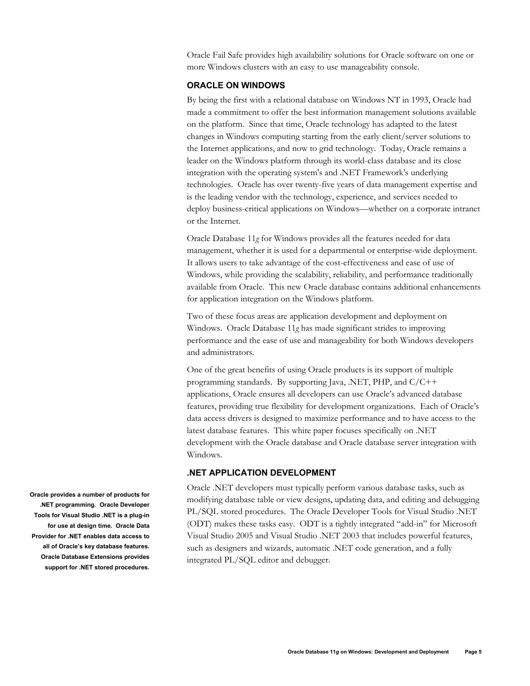Oracle Fail Safe provides high availability solutions for Oracle software on one or more Windows clusters with an easy to use manageability console.

# **ORACLE ON WINDOWS**

By being the first with a relational database on Windows NT in 1993, Oracle had made a commitment to offer the best information management solutions available on the platform. Since that time, Oracle technology has adapted to the latest changes in Windows computing starting from the early client/server solutions to the Internet applications, and now to grid technology. Today, Oracle remains a leader on the Windows platform through its world-class database and its close integration with the operating system's and .NET Framework's underlying technologies. Oracle has over twenty-five years of data management expertise and is the leading vendor with the technology, experience, and services needed to deploy business-critical applications on Windows—whether on a corporate intranet or the Internet.

Oracle Database 11*g* for Windows provides all the features needed for data management, whether it is used for a departmental or enterprise-wide deployment. It allows users to take advantage of the cost-effectiveness and ease of use of Windows, while providing the scalability, reliability, and performance traditionally available from Oracle. This new Oracle database contains additional enhancements for application integration on the Windows platform.

Two of these focus areas are application development and deployment on Windows. Oracle Database 11*g* has made significant strides to improving performance and the ease of use and manageability for both Windows developers and administrators.

One of the great benefits of using Oracle products is its support of multiple programming standards. By supporting Java, .NET, PHP, and C/C++ applications, Oracle ensures all developers can use Oracle's advanced database features, providing true flexibility for development organizations. Each of Oracle's data access drivers is designed to maximize performance and to have access to the latest database features. This white paper focuses specifically on .NET development with the Oracle database and Oracle database server integration with Windows.

### **.NET APPLICATION DEVELOPMENT**

Oracle .NET developers must typically perform various database tasks, such as modifying database table or view designs, updating data, and editing and debugging PL/SQL stored procedures. The Oracle Developer Tools for Visual Studio .NET (ODT) makes these tasks easy. ODT is a tightly integrated "add-in" for Microsoft Visual Studio 2005 and Visual Studio .NET 2003 that includes powerful features, such as designers and wizards, automatic .NET code generation, and a fully integrated PL/SQL editor and debugger.

**Oracle provides a number of products for .NET programming. Oracle Developer Tools for Visual Studio .NET is a plug-in for use at design time. Oracle Data Provider for .NET enables data access to all of Oracle's key database features. Oracle Database Extensions provides support for .NET stored procedures.**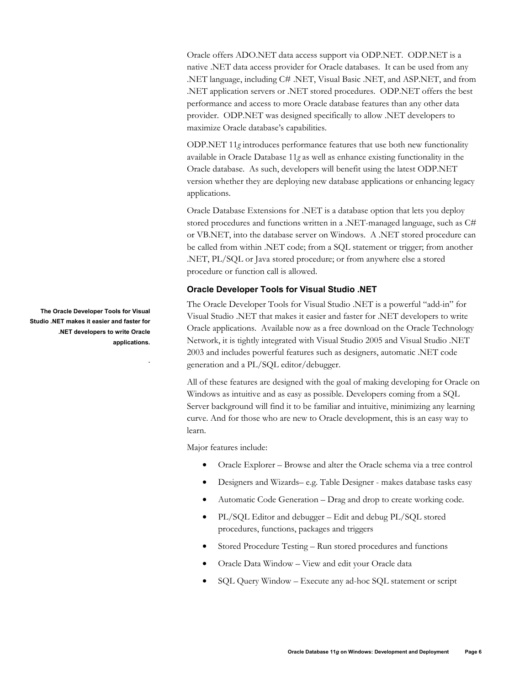Oracle offers ADO.NET data access support via ODP.NET. ODP.NET is a native .NET data access provider for Oracle databases. It can be used from any .NET language, including C# .NET, Visual Basic .NET, and ASP.NET, and from .NET application servers or .NET stored procedures. ODP.NET offers the best performance and access to more Oracle database features than any other data provider. ODP.NET was designed specifically to allow .NET developers to maximize Oracle database's capabilities.

ODP.NET 11*g* introduces performance features that use both new functionality available in Oracle Database 11*g* as well as enhance existing functionality in the Oracle database. As such, developers will benefit using the latest ODP.NET version whether they are deploying new database applications or enhancing legacy applications.

Oracle Database Extensions for .NET is a database option that lets you deploy stored procedures and functions written in a .NET-managed language, such as C# or VB.NET, into the database server on Windows. A .NET stored procedure can be called from within .NET code; from a SQL statement or trigger; from another .NET, PL/SQL or Java stored procedure; or from anywhere else a stored procedure or function call is allowed.

# **Oracle Developer Tools for Visual Studio .NET**

The Oracle Developer Tools for Visual Studio .NET is a powerful "add-in" for Visual Studio .NET that makes it easier and faster for .NET developers to write Oracle applications. Available now as a free download on the Oracle Technology Network, it is tightly integrated with Visual Studio 2005 and Visual Studio .NET 2003 and includes powerful features such as designers, automatic .NET code generation and a PL/SQL editor/debugger.

All of these features are designed with the goal of making developing for Oracle on Windows as intuitive and as easy as possible. Developers coming from a SQL Server background will find it to be familiar and intuitive, minimizing any learning curve. And for those who are new to Oracle development, this is an easy way to learn.

Major features include:

- Oracle Explorer Browse and alter the Oracle schema via a tree control
- Designers and Wizards– e.g. Table Designer makes database tasks easy
- Automatic Code Generation Drag and drop to create working code.
- PL/SQL Editor and debugger Edit and debug PL/SQL stored procedures, functions, packages and triggers
- Stored Procedure Testing Run stored procedures and functions
- Oracle Data Window View and edit your Oracle data
- SQL Query Window Execute any ad-hoc SQL statement or script

**The Oracle Developer Tools for Visual Studio .NET makes it easier and faster for .NET developers to write Oracle applications.** 

**.**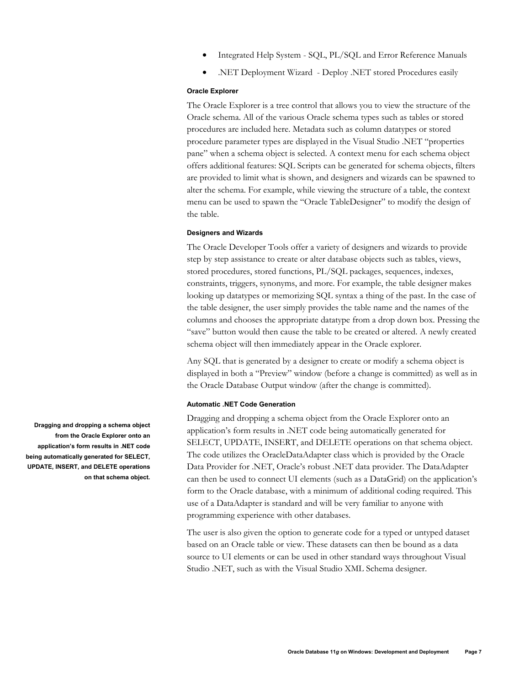- Integrated Help System SQL, PL/SQL and Error Reference Manuals
- .NET Deployment Wizard Deploy .NET stored Procedures easily

#### **Oracle Explorer**

The Oracle Explorer is a tree control that allows you to view the structure of the Oracle schema. All of the various Oracle schema types such as tables or stored procedures are included here. Metadata such as column datatypes or stored procedure parameter types are displayed in the Visual Studio .NET "properties pane" when a schema object is selected. A context menu for each schema object offers additional features: SQL Scripts can be generated for schema objects, filters are provided to limit what is shown, and designers and wizards can be spawned to alter the schema. For example, while viewing the structure of a table, the context menu can be used to spawn the "Oracle TableDesigner" to modify the design of the table.

#### **Designers and Wizards**

The Oracle Developer Tools offer a variety of designers and wizards to provide step by step assistance to create or alter database objects such as tables, views, stored procedures, stored functions, PL/SQL packages, sequences, indexes, constraints, triggers, synonyms, and more. For example, the table designer makes looking up datatypes or memorizing SQL syntax a thing of the past. In the case of the table designer, the user simply provides the table name and the names of the columns and chooses the appropriate datatype from a drop down box. Pressing the "save" button would then cause the table to be created or altered. A newly created schema object will then immediately appear in the Oracle explorer.

Any SQL that is generated by a designer to create or modify a schema object is displayed in both a "Preview" window (before a change is committed) as well as in the Oracle Database Output window (after the change is committed).

#### **Automatic .NET Code Generation**

Dragging and dropping a schema object from the Oracle Explorer onto an application's form results in .NET code being automatically generated for SELECT, UPDATE, INSERT, and DELETE operations on that schema object. The code utilizes the OracleDataAdapter class which is provided by the Oracle Data Provider for .NET, Oracle's robust .NET data provider. The DataAdapter can then be used to connect UI elements (such as a DataGrid) on the application's form to the Oracle database, with a minimum of additional coding required. This use of a DataAdapter is standard and will be very familiar to anyone with programming experience with other databases.

The user is also given the option to generate code for a typed or untyped dataset based on an Oracle table or view. These datasets can then be bound as a data source to UI elements or can be used in other standard ways throughout Visual Studio .NET, such as with the Visual Studio XML Schema designer.

**Dragging and dropping a schema object from the Oracle Explorer onto an application's form results in .NET code being automatically generated for SELECT, UPDATE, INSERT, and DELETE operations on that schema object.**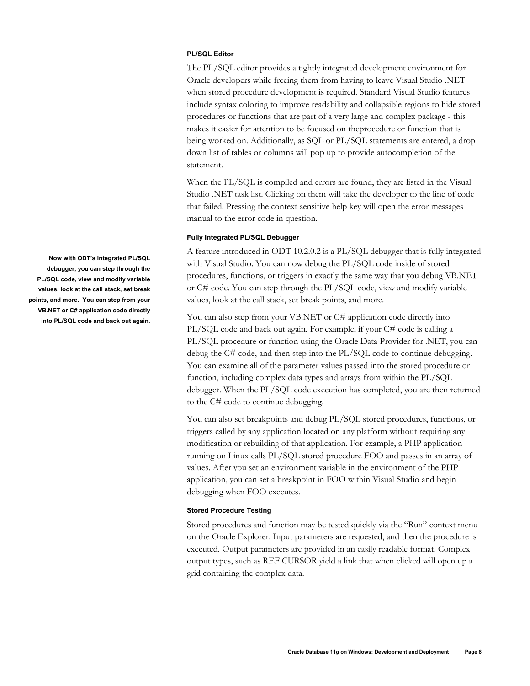#### **PL/SQL Editor**

The PL/SQL editor provides a tightly integrated development environment for Oracle developers while freeing them from having to leave Visual Studio .NET when stored procedure development is required. Standard Visual Studio features include syntax coloring to improve readability and collapsible regions to hide stored procedures or functions that are part of a very large and complex package - this makes it easier for attention to be focused on theprocedure or function that is being worked on. Additionally, as SQL or PL/SQL statements are entered, a drop down list of tables or columns will pop up to provide autocompletion of the statement.

When the PL/SQL is compiled and errors are found, they are listed in the Visual Studio .NET task list. Clicking on them will take the developer to the line of code that failed. Pressing the context sensitive help key will open the error messages manual to the error code in question.

#### **Fully Integrated PL/SQL Debugger**

A feature introduced in ODT 10.2.0.2 is a PL/SQL debugger that is fully integrated with Visual Studio. You can now debug the PL/SQL code inside of stored procedures, functions, or triggers in exactly the same way that you debug VB.NET or C# code. You can step through the PL/SQL code, view and modify variable values, look at the call stack, set break points, and more.

You can also step from your VB.NET or C# application code directly into PL/SQL code and back out again. For example, if your C# code is calling a PL/SQL procedure or function using the Oracle Data Provider for .NET, you can debug the C# code, and then step into the PL/SQL code to continue debugging. You can examine all of the parameter values passed into the stored procedure or function, including complex data types and arrays from within the PL/SQL debugger. When the PL/SQL code execution has completed, you are then returned to the C# code to continue debugging.

You can also set breakpoints and debug PL/SQL stored procedures, functions, or triggers called by any application located on any platform without requiring any modification or rebuilding of that application. For example, a PHP application running on Linux calls PL/SQL stored procedure FOO and passes in an array of values. After you set an environment variable in the environment of the PHP application, you can set a breakpoint in FOO within Visual Studio and begin debugging when FOO executes.

#### **Stored Procedure Testing**

Stored procedures and function may be tested quickly via the "Run" context menu on the Oracle Explorer. Input parameters are requested, and then the procedure is executed. Output parameters are provided in an easily readable format. Complex output types, such as REF CURSOR yield a link that when clicked will open up a grid containing the complex data.

**Now with ODT's integrated PL/SQL debugger, you can step through the PL/SQL code, view and modify variable values, look at the call stack, set break points, and more. You can step from your VB.NET or C# application code directly into PL/SQL code and back out again.**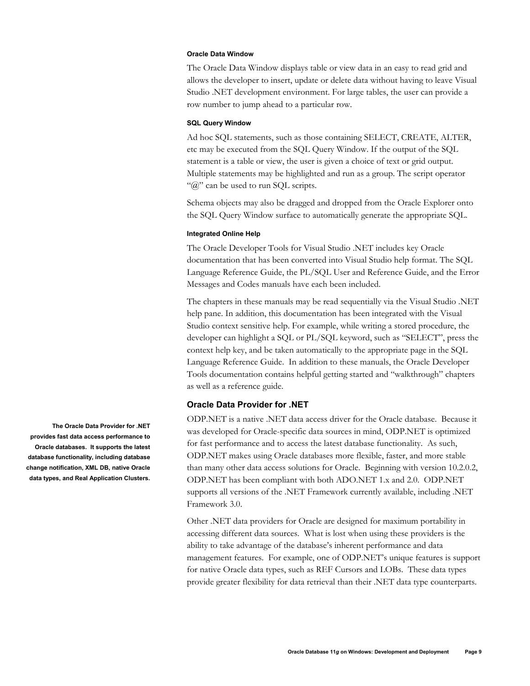#### **Oracle Data Window**

The Oracle Data Window displays table or view data in an easy to read grid and allows the developer to insert, update or delete data without having to leave Visual Studio .NET development environment. For large tables, the user can provide a row number to jump ahead to a particular row.

### **SQL Query Window**

Ad hoc SQL statements, such as those containing SELECT, CREATE, ALTER, etc may be executed from the SQL Query Window. If the output of the SQL statement is a table or view, the user is given a choice of text or grid output. Multiple statements may be highlighted and run as a group. The script operator " $@$ " can be used to run SQL scripts.

Schema objects may also be dragged and dropped from the Oracle Explorer onto the SQL Query Window surface to automatically generate the appropriate SQL.

#### **Integrated Online Help**

The Oracle Developer Tools for Visual Studio .NET includes key Oracle documentation that has been converted into Visual Studio help format. The SQL Language Reference Guide, the PL/SQL User and Reference Guide, and the Error Messages and Codes manuals have each been included.

The chapters in these manuals may be read sequentially via the Visual Studio .NET help pane. In addition, this documentation has been integrated with the Visual Studio context sensitive help. For example, while writing a stored procedure, the developer can highlight a SQL or PL/SQL keyword, such as "SELECT", press the context help key, and be taken automatically to the appropriate page in the SQL Language Reference Guide. In addition to these manuals, the Oracle Developer Tools documentation contains helpful getting started and "walkthrough" chapters as well as a reference guide.

### **Oracle Data Provider for .NET**

ODP.NET is a native .NET data access driver for the Oracle database. Because it was developed for Oracle-specific data sources in mind, ODP.NET is optimized for fast performance and to access the latest database functionality. As such, ODP.NET makes using Oracle databases more flexible, faster, and more stable than many other data access solutions for Oracle. Beginning with version 10.2.0.2, ODP.NET has been compliant with both ADO.NET 1.x and 2.0. ODP.NET supports all versions of the .NET Framework currently available, including .NET Framework 3.0.

Other .NET data providers for Oracle are designed for maximum portability in accessing different data sources. What is lost when using these providers is the ability to take advantage of the database's inherent performance and data management features. For example, one of ODP.NET's unique features is support for native Oracle data types, such as REF Cursors and LOBs. These data types provide greater flexibility for data retrieval than their .NET data type counterparts.

**The Oracle Data Provider for .NET provides fast data access performance to Oracle databases. It supports the latest database functionality, including database change notification, XML DB, native Oracle data types, and Real Application Clusters.**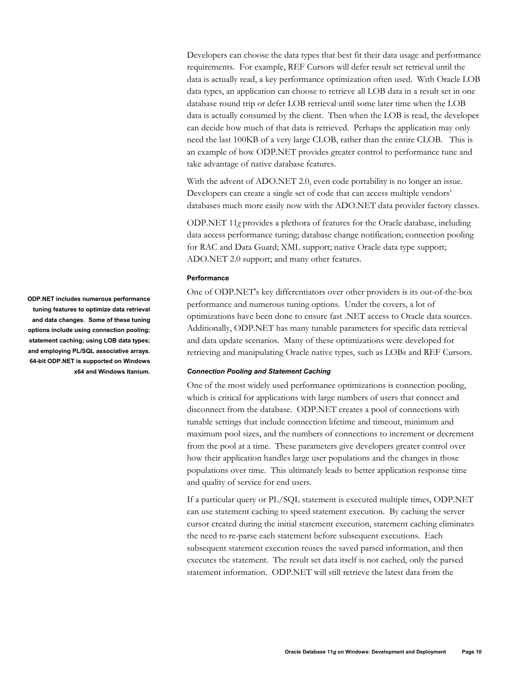Developers can choose the data types that best fit their data usage and performance requirements. For example, REF Cursors will defer result set retrieval until the data is actually read, a key performance optimization often used. With Oracle LOB data types, an application can choose to retrieve all LOB data in a result set in one database round trip or defer LOB retrieval until some later time when the LOB data is actually consumed by the client. Then when the LOB is read, the developer can decide how much of that data is retrieved. Perhaps the application may only need the last 100KB of a very large CLOB, rather than the entire CLOB. This is an example of how ODP.NET provides greater control to performance tune and take advantage of native database features.

With the advent of ADO.NET 2.0, even code portability is no longer an issue. Developers can create a single set of code that can access multiple vendors' databases much more easily now with the ADO.NET data provider factory classes.

ODP.NET 11*g* provides a plethora of features for the Oracle database, including data access performance tuning; database change notification; connection pooling for RAC and Data Guard; XML support; native Oracle data type support; ADO.NET 2.0 support; and many other features.

#### **Performance**

One of ODP.NET's key differentiators over other providers is its out-of-the-box performance and numerous tuning options. Under the covers, a lot of optimizations have been done to ensure fast .NET access to Oracle data sources. Additionally, ODP.NET has many tunable parameters for specific data retrieval and data update scenarios. Many of these optimizations were developed for retrieving and manipulating Oracle native types, such as LOBs and REF Cursors.

#### *Connection Pooling and Statement Caching*

One of the most widely used performance optimizations is connection pooling, which is critical for applications with large numbers of users that connect and disconnect from the database. ODP.NET creates a pool of connections with tunable settings that include connection lifetime and timeout, minimum and maximum pool sizes, and the numbers of connections to increment or decrement from the pool at a time. These parameters give developers greater control over how their application handles large user populations and the changes in those populations over time. This ultimately leads to better application response time and quality of service for end users.

If a particular query or PL/SQL statement is executed multiple times, ODP.NET can use statement caching to speed statement execution. By caching the server cursor created during the initial statement execution, statement caching eliminates the need to re-parse each statement before subsequent executions. Each subsequent statement execution reuses the saved parsed information, and then executes the statement. The result set data itself is not cached, only the parsed statement information. ODP.NET will still retrieve the latest data from the

**ODP.NET includes numerous performance tuning features to optimize data retrieval and data changes. Some of these tuning options include using connection pooling; statement caching; using LOB data types; and employing PL/SQL associative arrays. 64-bit ODP.NET is supported on Windows x64 and Windows Itanium.**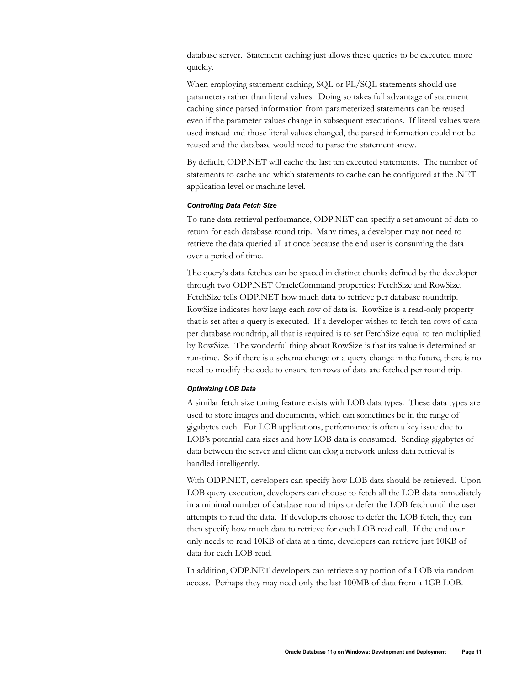database server. Statement caching just allows these queries to be executed more quickly.

When employing statement caching, SQL or PL/SQL statements should use parameters rather than literal values. Doing so takes full advantage of statement caching since parsed information from parameterized statements can be reused even if the parameter values change in subsequent executions. If literal values were used instead and those literal values changed, the parsed information could not be reused and the database would need to parse the statement anew.

By default, ODP.NET will cache the last ten executed statements. The number of statements to cache and which statements to cache can be configured at the .NET application level or machine level.

#### *Controlling Data Fetch Size*

To tune data retrieval performance, ODP.NET can specify a set amount of data to return for each database round trip. Many times, a developer may not need to retrieve the data queried all at once because the end user is consuming the data over a period of time.

The query's data fetches can be spaced in distinct chunks defined by the developer through two ODP.NET OracleCommand properties: FetchSize and RowSize. FetchSize tells ODP.NET how much data to retrieve per database roundtrip. RowSize indicates how large each row of data is. RowSize is a read-only property that is set after a query is executed. If a developer wishes to fetch ten rows of data per database roundtrip, all that is required is to set FetchSize equal to ten multiplied by RowSize. The wonderful thing about RowSize is that its value is determined at run-time. So if there is a schema change or a query change in the future, there is no need to modify the code to ensure ten rows of data are fetched per round trip.

#### *Optimizing LOB Data*

A similar fetch size tuning feature exists with LOB data types. These data types are used to store images and documents, which can sometimes be in the range of gigabytes each. For LOB applications, performance is often a key issue due to LOB's potential data sizes and how LOB data is consumed. Sending gigabytes of data between the server and client can clog a network unless data retrieval is handled intelligently.

With ODP.NET, developers can specify how LOB data should be retrieved. Upon LOB query execution, developers can choose to fetch all the LOB data immediately in a minimal number of database round trips or defer the LOB fetch until the user attempts to read the data. If developers choose to defer the LOB fetch, they can then specify how much data to retrieve for each LOB read call. If the end user only needs to read 10KB of data at a time, developers can retrieve just 10KB of data for each LOB read.

In addition, ODP.NET developers can retrieve any portion of a LOB via random access. Perhaps they may need only the last 100MB of data from a 1GB LOB.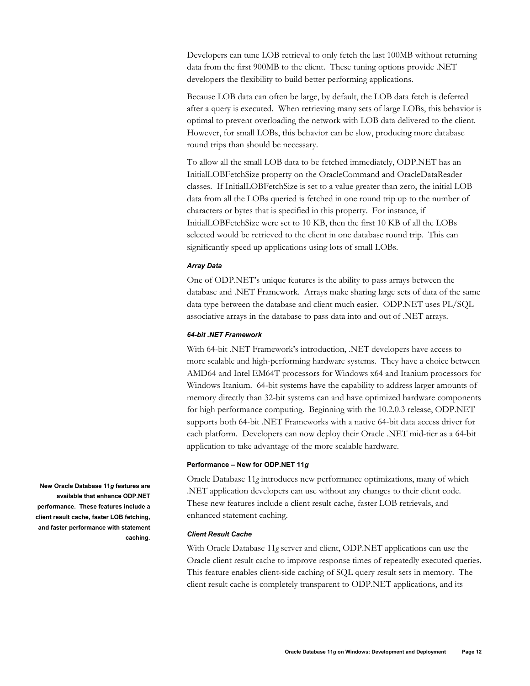Developers can tune LOB retrieval to only fetch the last 100MB without returning data from the first 900MB to the client. These tuning options provide .NET developers the flexibility to build better performing applications.

Because LOB data can often be large, by default, the LOB data fetch is deferred after a query is executed. When retrieving many sets of large LOBs, this behavior is optimal to prevent overloading the network with LOB data delivered to the client. However, for small LOBs, this behavior can be slow, producing more database round trips than should be necessary.

To allow all the small LOB data to be fetched immediately, ODP.NET has an InitialLOBFetchSize property on the OracleCommand and OracleDataReader classes. If InitialLOBFetchSize is set to a value greater than zero, the initial LOB data from all the LOBs queried is fetched in one round trip up to the number of characters or bytes that is specified in this property. For instance, if InitialLOBFetchSize were set to 10 KB, then the first 10 KB of all the LOBs selected would be retrieved to the client in one database round trip. This can significantly speed up applications using lots of small LOBs.

#### *Array Data*

One of ODP.NET's unique features is the ability to pass arrays between the database and .NET Framework. Arrays make sharing large sets of data of the same data type between the database and client much easier. ODP.NET uses PL/SQL associative arrays in the database to pass data into and out of .NET arrays.

#### *64-bit .NET Framework*

With 64-bit .NET Framework's introduction, .NET developers have access to more scalable and high-performing hardware systems. They have a choice between AMD64 and Intel EM64T processors for Windows x64 and Itanium processors for Windows Itanium. 64-bit systems have the capability to address larger amounts of memory directly than 32-bit systems can and have optimized hardware components for high performance computing. Beginning with the 10.2.0.3 release, ODP.NET supports both 64-bit .NET Frameworks with a native 64-bit data access driver for each platform. Developers can now deploy their Oracle .NET mid-tier as a 64-bit application to take advantage of the more scalable hardware.

#### **Performance – New for ODP.NET 11***g*

Oracle Database 11*g* introduces new performance optimizations, many of which .NET application developers can use without any changes to their client code. These new features include a client result cache, faster LOB retrievals, and enhanced statement caching.

### *Client Result Cache*

With Oracle Database 11*g* server and client, ODP.NET applications can use the Oracle client result cache to improve response times of repeatedly executed queries. This feature enables client-side caching of SQL query result sets in memory. The client result cache is completely transparent to ODP.NET applications, and its

**New Oracle Database 11***g* **features are available that enhance ODP.NET performance. These features include a client result cache, faster LOB fetching, and faster performance with statement caching.**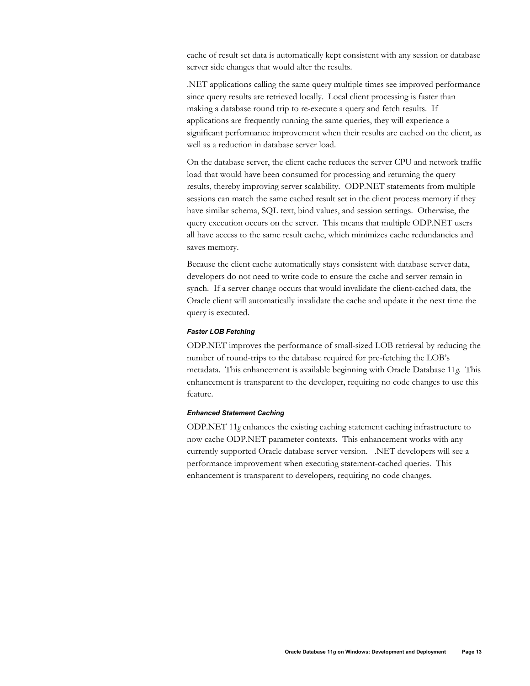cache of result set data is automatically kept consistent with any session or database server side changes that would alter the results.

.NET applications calling the same query multiple times see improved performance since query results are retrieved locally. Local client processing is faster than making a database round trip to re-execute a query and fetch results. If applications are frequently running the same queries, they will experience a significant performance improvement when their results are cached on the client, as well as a reduction in database server load.

On the database server, the client cache reduces the server CPU and network traffic load that would have been consumed for processing and returning the query results, thereby improving server scalability. ODP.NET statements from multiple sessions can match the same cached result set in the client process memory if they have similar schema, SQL text, bind values, and session settings. Otherwise, the query execution occurs on the server. This means that multiple ODP.NET users all have access to the same result cache, which minimizes cache redundancies and saves memory.

Because the client cache automatically stays consistent with database server data, developers do not need to write code to ensure the cache and server remain in synch. If a server change occurs that would invalidate the client-cached data, the Oracle client will automatically invalidate the cache and update it the next time the query is executed.

#### *Faster LOB Fetching*

ODP.NET improves the performance of small-sized LOB retrieval by reducing the number of round-trips to the database required for pre-fetching the LOB's metadata. This enhancement is available beginning with Oracle Database 11*g*. This enhancement is transparent to the developer, requiring no code changes to use this feature.

#### *Enhanced Statement Caching*

ODP.NET 11*g* enhances the existing caching statement caching infrastructure to now cache ODP.NET parameter contexts. This enhancement works with any currently supported Oracle database server version. .NET developers will see a performance improvement when executing statement-cached queries. This enhancement is transparent to developers, requiring no code changes.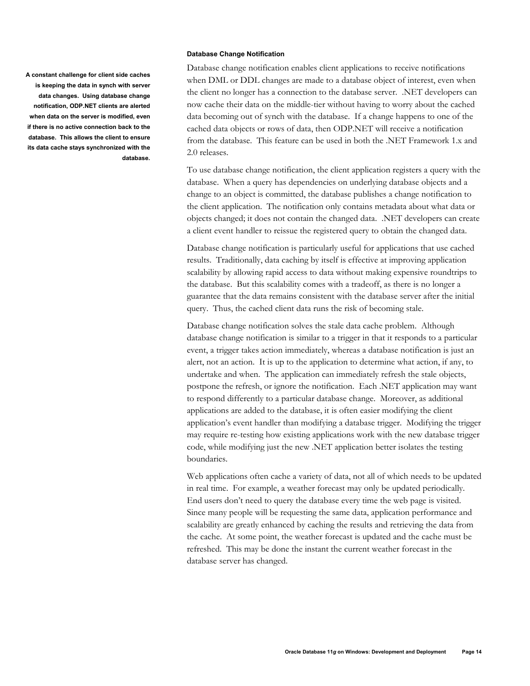**A constant challenge for client side caches is keeping the data in synch with server data changes. Using database change notification, ODP.NET clients are alerted when data on the server is modified, even if there is no active connection back to the database. This allows the client to ensure its data cache stays synchronized with the database.** 

#### **Database Change Notification**

Database change notification enables client applications to receive notifications when DML or DDL changes are made to a database object of interest, even when the client no longer has a connection to the database server. .NET developers can now cache their data on the middle-tier without having to worry about the cached data becoming out of synch with the database. If a change happens to one of the cached data objects or rows of data, then ODP.NET will receive a notification from the database. This feature can be used in both the .NET Framework 1.x and 2.0 releases.

To use database change notification, the client application registers a query with the database. When a query has dependencies on underlying database objects and a change to an object is committed, the database publishes a change notification to the client application. The notification only contains metadata about what data or objects changed; it does not contain the changed data. .NET developers can create a client event handler to reissue the registered query to obtain the changed data.

Database change notification is particularly useful for applications that use cached results. Traditionally, data caching by itself is effective at improving application scalability by allowing rapid access to data without making expensive roundtrips to the database. But this scalability comes with a tradeoff, as there is no longer a guarantee that the data remains consistent with the database server after the initial query. Thus, the cached client data runs the risk of becoming stale.

Database change notification solves the stale data cache problem. Although database change notification is similar to a trigger in that it responds to a particular event, a trigger takes action immediately, whereas a database notification is just an alert, not an action. It is up to the application to determine what action, if any, to undertake and when. The application can immediately refresh the stale objects, postpone the refresh, or ignore the notification. Each .NET application may want to respond differently to a particular database change. Moreover, as additional applications are added to the database, it is often easier modifying the client application's event handler than modifying a database trigger. Modifying the trigger may require re-testing how existing applications work with the new database trigger code, while modifying just the new .NET application better isolates the testing boundaries.

Web applications often cache a variety of data, not all of which needs to be updated in real time. For example, a weather forecast may only be updated periodically. End users don't need to query the database every time the web page is visited. Since many people will be requesting the same data, application performance and scalability are greatly enhanced by caching the results and retrieving the data from the cache. At some point, the weather forecast is updated and the cache must be refreshed. This may be done the instant the current weather forecast in the database server has changed.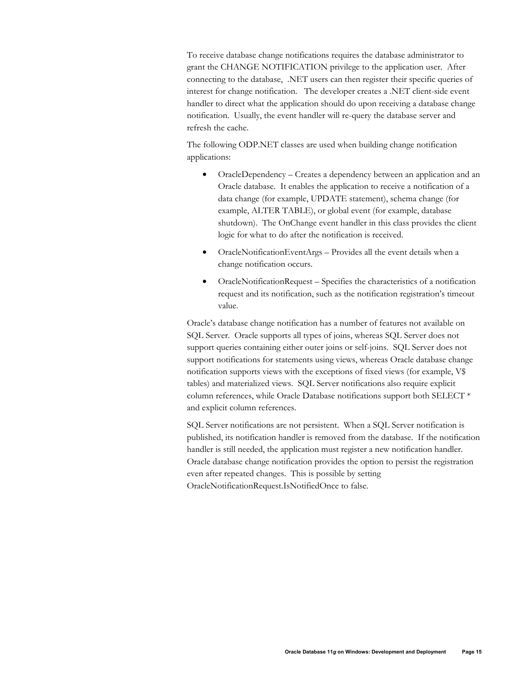To receive database change notifications requires the database administrator to grant the CHANGE NOTIFICATION privilege to the application user. After connecting to the database, .NET users can then register their specific queries of interest for change notification. The developer creates a .NET client-side event handler to direct what the application should do upon receiving a database change notification. Usually, the event handler will re-query the database server and refresh the cache.

The following ODP.NET classes are used when building change notification applications:

- OracleDependency Creates a dependency between an application and an Oracle database. It enables the application to receive a notification of a data change (for example, UPDATE statement), schema change (for example, ALTER TABLE), or global event (for example, database shutdown). The OnChange event handler in this class provides the client logic for what to do after the notification is received.
- OracleNotificationEventArgs Provides all the event details when a change notification occurs.
- OracleNotificationRequest Specifies the characteristics of a notification request and its notification, such as the notification registration's timeout value.

Oracle's database change notification has a number of features not available on SQL Server. Oracle supports all types of joins, whereas SQL Server does not support queries containing either outer joins or self-joins. SQL Server does not support notifications for statements using views, whereas Oracle database change notification supports views with the exceptions of fixed views (for example, V\$ tables) and materialized views. SQL Server notifications also require explicit column references, while Oracle Database notifications support both SELECT \* and explicit column references.

SQL Server notifications are not persistent. When a SQL Server notification is published, its notification handler is removed from the database. If the notification handler is still needed, the application must register a new notification handler. Oracle database change notification provides the option to persist the registration even after repeated changes. This is possible by setting OracleNotificationRequest.IsNotifiedOnce to false.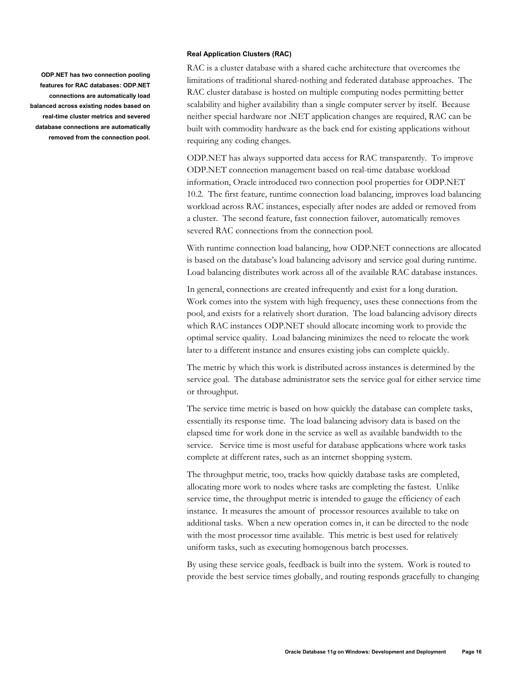**ODP.NET has two connection pooling features for RAC databases: ODP.NET connections are automatically load balanced across existing nodes based on real-time cluster metrics and severed database connections are automatically removed from the connection pool.** 

#### **Real Application Clusters (RAC)**

RAC is a cluster database with a shared cache architecture that overcomes the limitations of traditional shared-nothing and federated database approaches. The RAC cluster database is hosted on multiple computing nodes permitting better scalability and higher availability than a single computer server by itself. Because neither special hardware nor .NET application changes are required, RAC can be built with commodity hardware as the back end for existing applications without requiring any coding changes.

ODP.NET has always supported data access for RAC transparently. To improve ODP.NET connection management based on real-time database workload information, Oracle introduced two connection pool properties for ODP.NET 10.2. The first feature, runtime connection load balancing, improves load balancing workload across RAC instances, especially after nodes are added or removed from a cluster. The second feature, fast connection failover, automatically removes severed RAC connections from the connection pool.

With runtime connection load balancing, how ODP.NET connections are allocated is based on the database's load balancing advisory and service goal during runtime. Load balancing distributes work across all of the available RAC database instances.

In general, connections are created infrequently and exist for a long duration. Work comes into the system with high frequency, uses these connections from the pool, and exists for a relatively short duration. The load balancing advisory directs which RAC instances ODP.NET should allocate incoming work to provide the optimal service quality. Load balancing minimizes the need to relocate the work later to a different instance and ensures existing jobs can complete quickly.

The metric by which this work is distributed across instances is determined by the service goal. The database administrator sets the service goal for either service time or throughput.

The service time metric is based on how quickly the database can complete tasks, essentially its response time. The load balancing advisory data is based on the elapsed time for work done in the service as well as available bandwidth to the service. Service time is most useful for database applications where work tasks complete at different rates, such as an internet shopping system.

The throughput metric, too, tracks how quickly database tasks are completed, allocating more work to nodes where tasks are completing the fastest. Unlike service time, the throughput metric is intended to gauge the efficiency of each instance. It measures the amount of processor resources available to take on additional tasks. When a new operation comes in, it can be directed to the node with the most processor time available. This metric is best used for relatively uniform tasks, such as executing homogenous batch processes.

By using these service goals, feedback is built into the system. Work is routed to provide the best service times globally, and routing responds gracefully to changing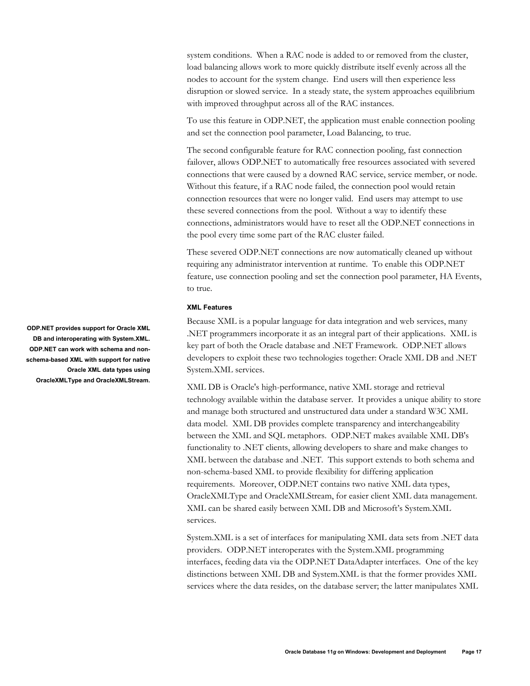system conditions. When a RAC node is added to or removed from the cluster, load balancing allows work to more quickly distribute itself evenly across all the nodes to account for the system change. End users will then experience less disruption or slowed service. In a steady state, the system approaches equilibrium with improved throughput across all of the RAC instances.

To use this feature in ODP.NET, the application must enable connection pooling and set the connection pool parameter, Load Balancing, to true.

The second configurable feature for RAC connection pooling, fast connection failover, allows ODP.NET to automatically free resources associated with severed connections that were caused by a downed RAC service, service member, or node. Without this feature, if a RAC node failed, the connection pool would retain connection resources that were no longer valid. End users may attempt to use these severed connections from the pool. Without a way to identify these connections, administrators would have to reset all the ODP.NET connections in the pool every time some part of the RAC cluster failed.

These severed ODP.NET connections are now automatically cleaned up without requiring any administrator intervention at runtime. To enable this ODP.NET feature, use connection pooling and set the connection pool parameter, HA Events, to true.

#### **XML Features**

Because XML is a popular language for data integration and web services, many .NET programmers incorporate it as an integral part of their applications. XML is key part of both the Oracle database and .NET Framework. ODP.NET allows developers to exploit these two technologies together: Oracle XML DB and .NET System.XML services.

XML DB is Oracle's high-performance, native XML storage and retrieval technology available within the database server. It provides a unique ability to store and manage both structured and unstructured data under a standard W3C XML data model. XML DB provides complete transparency and interchangeability between the XML and SQL metaphors. ODP.NET makes available XML DB's functionality to .NET clients, allowing developers to share and make changes to XML between the database and .NET. This support extends to both schema and non-schema-based XML to provide flexibility for differing application requirements. Moreover, ODP.NET contains two native XML data types, OracleXMLType and OracleXMLStream, for easier client XML data management. XML can be shared easily between XML DB and Microsoft's System.XML services.

System.XML is a set of interfaces for manipulating XML data sets from .NET data providers. ODP.NET interoperates with the System.XML programming interfaces, feeding data via the ODP.NET DataAdapter interfaces. One of the key distinctions between XML DB and System.XML is that the former provides XML services where the data resides, on the database server; the latter manipulates XML

**ODP.NET provides support for Oracle XML DB and interoperating with System.XML. ODP.NET can work with schema and nonschema-based XML with support for native Oracle XML data types using OracleXMLType and OracleXMLStream.**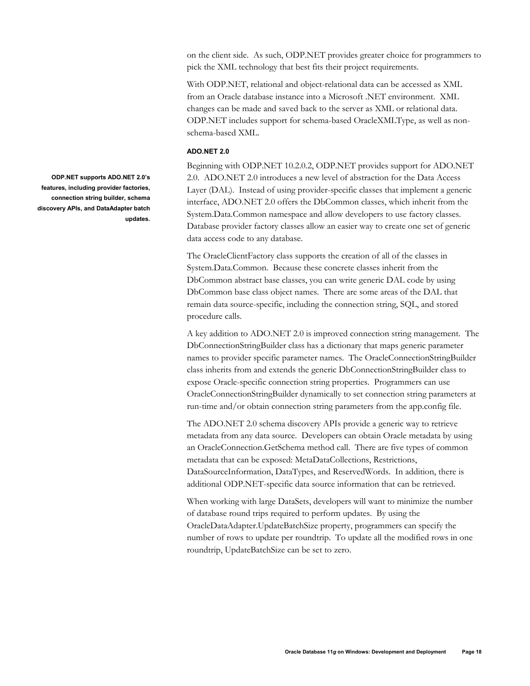on the client side. As such, ODP.NET provides greater choice for programmers to pick the XML technology that best fits their project requirements.

With ODP.NET, relational and object-relational data can be accessed as XML from an Oracle database instance into a Microsoft .NET environment. XML changes can be made and saved back to the server as XML or relational data. ODP.NET includes support for schema-based OracleXMLType, as well as nonschema-based XML.

#### **ADO.NET 2.0**

Beginning with ODP.NET 10.2.0.2, ODP.NET provides support for ADO.NET 2.0. ADO.NET 2.0 introduces a new level of abstraction for the Data Access Layer (DAL). Instead of using provider-specific classes that implement a generic interface, ADO.NET 2.0 offers the DbCommon classes, which inherit from the System.Data.Common namespace and allow developers to use factory classes. Database provider factory classes allow an easier way to create one set of generic data access code to any database.

The OracleClientFactory class supports the creation of all of the classes in System.Data.Common. Because these concrete classes inherit from the DbCommon abstract base classes, you can write generic DAL code by using DbCommon base class object names. There are some areas of the DAL that remain data source-specific, including the connection string, SQL, and stored procedure calls.

A key addition to ADO.NET 2.0 is improved connection string management. The DbConnectionStringBuilder class has a dictionary that maps generic parameter names to provider specific parameter names. The OracleConnectionStringBuilder class inherits from and extends the generic DbConnectionStringBuilder class to expose Oracle-specific connection string properties. Programmers can use OracleConnectionStringBuilder dynamically to set connection string parameters at run-time and/or obtain connection string parameters from the app.config file.

The ADO.NET 2.0 schema discovery APIs provide a generic way to retrieve metadata from any data source. Developers can obtain Oracle metadata by using an OracleConnection.GetSchema method call. There are five types of common metadata that can be exposed: MetaDataCollections, Restrictions, DataSourceInformation, DataTypes, and ReservedWords. In addition, there is additional ODP.NET-specific data source information that can be retrieved.

When working with large DataSets, developers will want to minimize the number of database round trips required to perform updates. By using the OracleDataAdapter.UpdateBatchSize property, programmers can specify the number of rows to update per roundtrip. To update all the modified rows in one roundtrip, UpdateBatchSize can be set to zero.

**ODP.NET supports ADO.NET 2.0's features, including provider factories, connection string builder, schema discovery APIs, and DataAdapter batch updates.**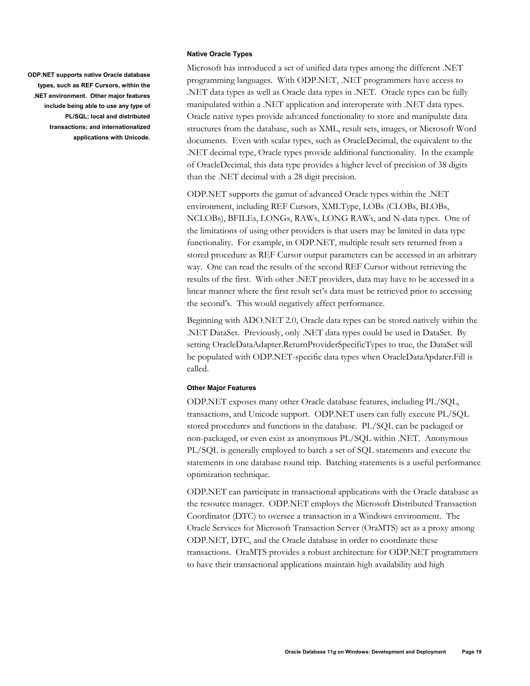**Native Oracle Types** 

**ODP.NET supports native Oracle database types, such as REF Cursors, within the .NET environment. Other major features include being able to use any type of PL/SQL; local and distributed transactions; and internationalized applications with Unicode.** 

Microsoft has introduced a set of unified data types among the different .NET programming languages. With ODP.NET, .NET programmers have access to .NET data types as well as Oracle data types in .NET. Oracle types can be fully manipulated within a .NET application and interoperate with .NET data types. Oracle native types provide advanced functionality to store and manipulate data structures from the database, such as XML, result sets, images, or Microsoft Word documents. Even with scalar types, such as OracleDecimal, the equivalent to the .NET decimal type, Oracle types provide additional functionality. In the example of OracleDecimal, this data type provides a higher level of precision of 38 digits than the .NET decimal with a 28 digit precision.

ODP.NET supports the gamut of advanced Oracle types within the .NET environment, including REF Cursors, XMLType, LOBs (CLOBs, BLOBs, NCLOBs), BFILEs, LONGs, RAWs, LONG RAWs, and N-data types. One of the limitations of using other providers is that users may be limited in data type functionality. For example, in ODP.NET, multiple result sets returned from a stored procedure as REF Cursor output parameters can be accessed in an arbitrary way. One can read the results of the second REF Cursor without retrieving the results of the first. With other .NET providers, data may have to be accessed in a linear manner where the first result set's data must be retrieved prior to accessing the second's. This would negatively affect performance.

Beginning with ADO.NET 2.0, Oracle data types can be stored natively within the .NET DataSet. Previously, only .NET data types could be used in DataSet. By setting OracleDataAdapter.ReturnProviderSpecificTypes to true, the DataSet will be populated with ODP.NET-specific data types when OracleDataApdater.Fill is called.

#### **Other Major Features**

ODP.NET exposes many other Oracle database features, including PL/SQL, transactions, and Unicode support. ODP.NET users can fully execute PL/SQL stored procedures and functions in the database. PL/SQL can be packaged or non-packaged, or even exist as anonymous PL/SQL within .NET. Anonymous PL/SQL is generally employed to batch a set of SQL statements and execute the statements in one database round trip. Batching statements is a useful performance optimization technique.

ODP.NET can participate in transactional applications with the Oracle database as the resource manager. ODP.NET employs the Microsoft Distributed Transaction Coordinator (DTC) to oversee a transaction in a Windows environment. The Oracle Services for Microsoft Transaction Server (OraMTS) act as a proxy among ODP.NET, DTC, and the Oracle database in order to coordinate these transactions. OraMTS provides a robust architecture for ODP.NET programmers to have their transactional applications maintain high availability and high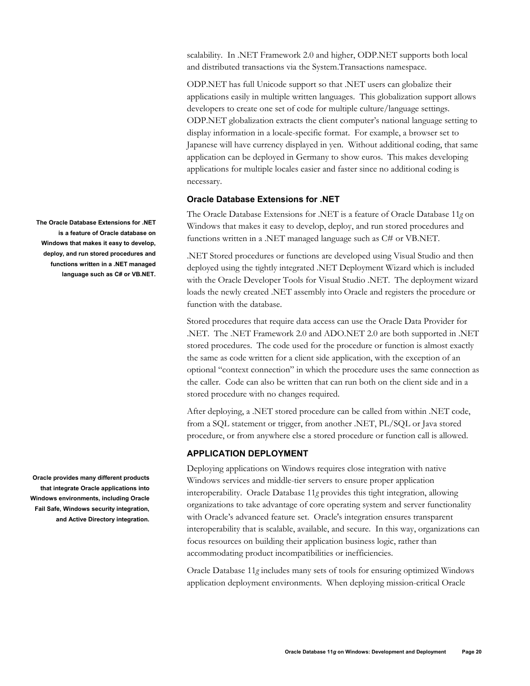scalability. In .NET Framework 2.0 and higher, ODP.NET supports both local and distributed transactions via the System.Transactions namespace.

ODP.NET has full Unicode support so that .NET users can globalize their applications easily in multiple written languages. This globalization support allows developers to create one set of code for multiple culture/language settings. ODP.NET globalization extracts the client computer's national language setting to display information in a locale-specific format. For example, a browser set to Japanese will have currency displayed in yen. Without additional coding, that same application can be deployed in Germany to show euros. This makes developing applications for multiple locales easier and faster since no additional coding is necessary.

# **Oracle Database Extensions for .NET**

The Oracle Database Extensions for .NET is a feature of Oracle Database 11*g* on Windows that makes it easy to develop, deploy, and run stored procedures and functions written in a .NET managed language such as C# or VB.NET.

.NET Stored procedures or functions are developed using Visual Studio and then deployed using the tightly integrated .NET Deployment Wizard which is included with the Oracle Developer Tools for Visual Studio .NET. The deployment wizard loads the newly created .NET assembly into Oracle and registers the procedure or function with the database.

Stored procedures that require data access can use the Oracle Data Provider for .NET. The .NET Framework 2.0 and ADO.NET 2.0 are both supported in .NET stored procedures. The code used for the procedure or function is almost exactly the same as code written for a client side application, with the exception of an optional "context connection" in which the procedure uses the same connection as the caller. Code can also be written that can run both on the client side and in a stored procedure with no changes required.

After deploying, a .NET stored procedure can be called from within .NET code, from a SQL statement or trigger, from another .NET, PL/SQL or Java stored procedure, or from anywhere else a stored procedure or function call is allowed.

# **APPLICATION DEPLOYMENT**

Deploying applications on Windows requires close integration with native Windows services and middle-tier servers to ensure proper application interoperability. Oracle Database 11*g* provides this tight integration, allowing organizations to take advantage of core operating system and server functionality with Oracle's advanced feature set. Oracle's integration ensures transparent interoperability that is scalable, available, and secure. In this way, organizations can focus resources on building their application business logic, rather than accommodating product incompatibilities or inefficiencies.

Oracle Database 11*g* includes many sets of tools for ensuring optimized Windows application deployment environments. When deploying mission-critical Oracle

**The Oracle Database Extensions for .NET is a feature of Oracle database on Windows that makes it easy to develop, deploy, and run stored procedures and functions written in a .NET managed language such as C# or VB.NET.** 

**Oracle provides many different products that integrate Oracle applications into Windows environments, including Oracle Fail Safe, Windows security integration, and Active Directory integration.**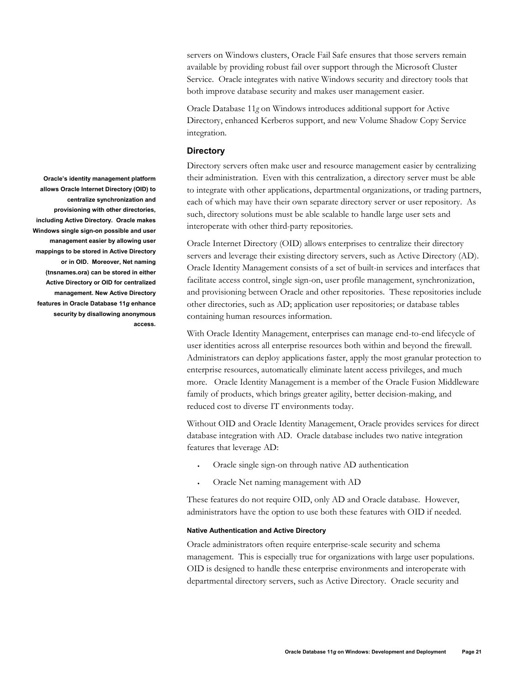servers on Windows clusters, Oracle Fail Safe ensures that those servers remain available by providing robust fail over support through the Microsoft Cluster Service. Oracle integrates with native Windows security and directory tools that both improve database security and makes user management easier.

Oracle Database 11*g* on Windows introduces additional support for Active Directory, enhanced Kerberos support, and new Volume Shadow Copy Service integration.

### **Directory**

Directory servers often make user and resource management easier by centralizing their administration. Even with this centralization, a directory server must be able to integrate with other applications, departmental organizations, or trading partners, each of which may have their own separate directory server or user repository. As such, directory solutions must be able scalable to handle large user sets and interoperate with other third-party repositories.

Oracle Internet Directory (OID) allows enterprises to centralize their directory servers and leverage their existing directory servers, such as Active Directory (AD). Oracle Identity Management consists of a set of built-in services and interfaces that facilitate access control, single sign-on, user profile management, synchronization, and provisioning between Oracle and other repositories. These repositories include other directories, such as AD; application user repositories; or database tables containing human resources information.

With Oracle Identity Management, enterprises can manage end-to-end lifecycle of user identities across all enterprise resources both within and beyond the firewall. Administrators can deploy applications faster, apply the most granular protection to enterprise resources, automatically eliminate latent access privileges, and much more. Oracle Identity Management is a member of the Oracle Fusion Middleware family of products, which brings greater agility, better decision-making, and reduced cost to diverse IT environments today.

Without OID and Oracle Identity Management, Oracle provides services for direct database integration with AD. Oracle database includes two native integration features that leverage AD:

- Oracle single sign-on through native AD authentication
- Oracle Net naming management with AD

These features do not require OID, only AD and Oracle database. However, administrators have the option to use both these features with OID if needed.

#### **Native Authentication and Active Directory**

Oracle administrators often require enterprise-scale security and schema management. This is especially true for organizations with large user populations. OID is designed to handle these enterprise environments and interoperate with departmental directory servers, such as Active Directory. Oracle security and

**Oracle's identity management platform allows Oracle Internet Directory (OID) to centralize synchronization and provisioning with other directories, including Active Directory. Oracle makes Windows single sign-on possible and user management easier by allowing user mappings to be stored in Active Directory or in OID. Moreover, Net naming (tnsnames.ora) can be stored in either Active Directory or OID for centralized management. New Active Directory features in Oracle Database 11***g* **enhance security by disallowing anonymous access.**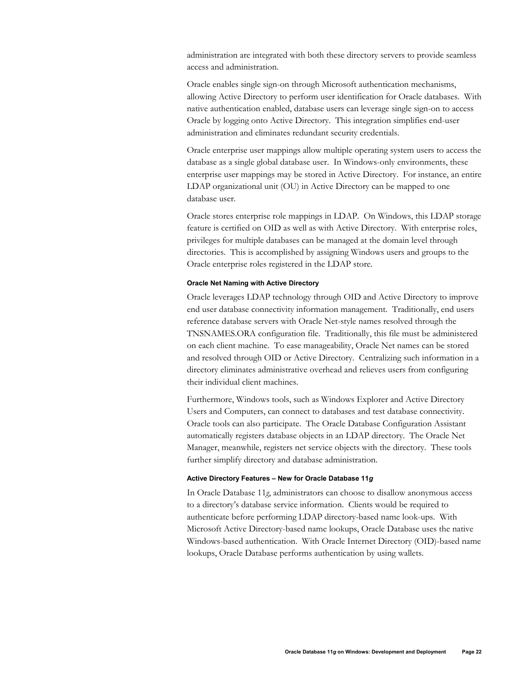administration are integrated with both these directory servers to provide seamless access and administration.

Oracle enables single sign-on through Microsoft authentication mechanisms, allowing Active Directory to perform user identification for Oracle databases. With native authentication enabled, database users can leverage single sign-on to access Oracle by logging onto Active Directory. This integration simplifies end-user administration and eliminates redundant security credentials.

Oracle enterprise user mappings allow multiple operating system users to access the database as a single global database user. In Windows-only environments, these enterprise user mappings may be stored in Active Directory. For instance, an entire LDAP organizational unit (OU) in Active Directory can be mapped to one database user.

Oracle stores enterprise role mappings in LDAP. On Windows, this LDAP storage feature is certified on OID as well as with Active Directory. With enterprise roles, privileges for multiple databases can be managed at the domain level through directories. This is accomplished by assigning Windows users and groups to the Oracle enterprise roles registered in the LDAP store.

#### **Oracle Net Naming with Active Directory**

Oracle leverages LDAP technology through OID and Active Directory to improve end user database connectivity information management. Traditionally, end users reference database servers with Oracle Net-style names resolved through the TNSNAMES.ORA configuration file. Traditionally, this file must be administered on each client machine. To ease manageability, Oracle Net names can be stored and resolved through OID or Active Directory. Centralizing such information in a directory eliminates administrative overhead and relieves users from configuring their individual client machines.

Furthermore, Windows tools, such as Windows Explorer and Active Directory Users and Computers, can connect to databases and test database connectivity. Oracle tools can also participate. The Oracle Database Configuration Assistant automatically registers database objects in an LDAP directory. The Oracle Net Manager, meanwhile, registers net service objects with the directory. These tools further simplify directory and database administration.

#### **Active Directory Features – New for Oracle Database 11***g*

In Oracle Database 11*g*, administrators can choose to disallow anonymous access to a directory's database service information. Clients would be required to authenticate before performing LDAP directory-based name look-ups. With Microsoft Active Directory-based name lookups, Oracle Database uses the native Windows-based authentication. With Oracle Internet Directory (OID)-based name lookups, Oracle Database performs authentication by using wallets.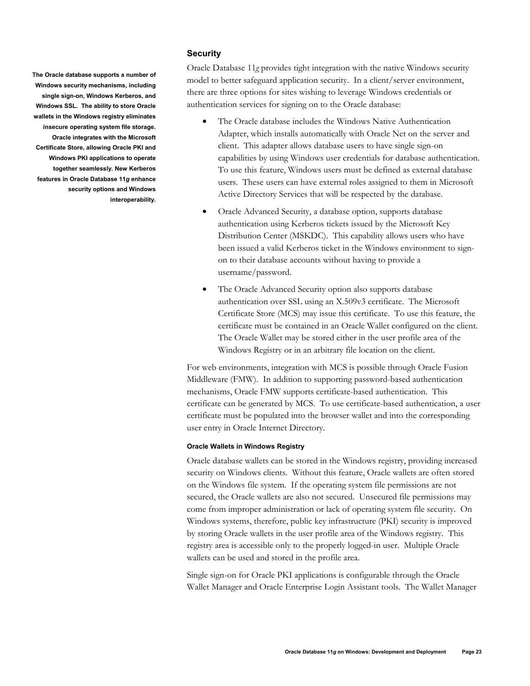# **Security**

**The Oracle database supports a number of Windows security mechanisms, including single sign-on, Windows Kerberos, and Windows SSL. The ability to store Oracle wallets in the Windows registry eliminates insecure operating system file storage. Oracle integrates with the Microsoft Certificate Store, allowing Oracle PKI and Windows PKI applications to operate together seamlessly. New Kerberos features in Oracle Database 11***g* **enhance security options and Windows interoperability.** 

Oracle Database 11*g* provides tight integration with the native Windows security model to better safeguard application security. In a client/server environment, there are three options for sites wishing to leverage Windows credentials or authentication services for signing on to the Oracle database:

- The Oracle database includes the Windows Native Authentication Adapter, which installs automatically with Oracle Net on the server and client. This adapter allows database users to have single sign-on capabilities by using Windows user credentials for database authentication. To use this feature, Windows users must be defined as external database users. These users can have external roles assigned to them in Microsoft Active Directory Services that will be respected by the database.
- Oracle Advanced Security, a database option, supports database authentication using Kerberos tickets issued by the Microsoft Key Distribution Center (MSKDC). This capability allows users who have been issued a valid Kerberos ticket in the Windows environment to signon to their database accounts without having to provide a username/password.
- The Oracle Advanced Security option also supports database authentication over SSL using an X.509v3 certificate. The Microsoft Certificate Store (MCS) may issue this certificate. To use this feature, the certificate must be contained in an Oracle Wallet configured on the client. The Oracle Wallet may be stored either in the user profile area of the Windows Registry or in an arbitrary file location on the client.

For web environments, integration with MCS is possible through Oracle Fusion Middleware (FMW). In addition to supporting password-based authentication mechanisms, Oracle FMW supports certificate-based authentication. This certificate can be generated by MCS. To use certificate-based authentication, a user certificate must be populated into the browser wallet and into the corresponding user entry in Oracle Internet Directory.

#### **Oracle Wallets in Windows Registry**

Oracle database wallets can be stored in the Windows registry, providing increased security on Windows clients. Without this feature, Oracle wallets are often stored on the Windows file system. If the operating system file permissions are not secured, the Oracle wallets are also not secured. Unsecured file permissions may come from improper administration or lack of operating system file security. On Windows systems, therefore, public key infrastructure (PKI) security is improved by storing Oracle wallets in the user profile area of the Windows registry. This registry area is accessible only to the properly logged-in user. Multiple Oracle wallets can be used and stored in the profile area.

Single sign-on for Oracle PKI applications is configurable through the Oracle Wallet Manager and Oracle Enterprise Login Assistant tools. The Wallet Manager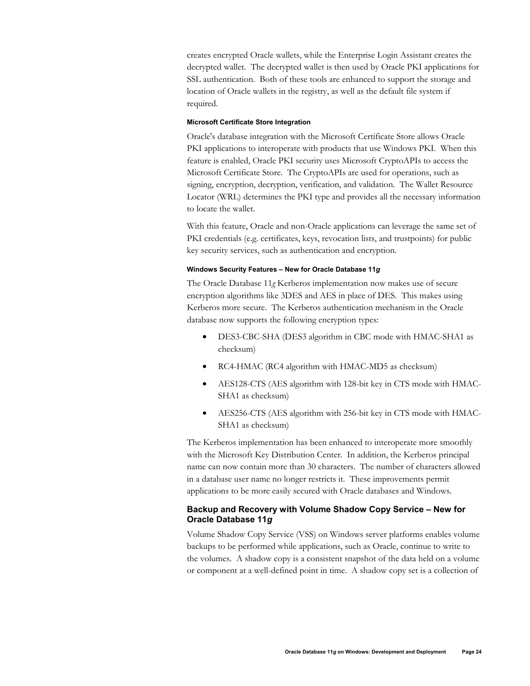creates encrypted Oracle wallets, while the Enterprise Login Assistant creates the decrypted wallet. The decrypted wallet is then used by Oracle PKI applications for SSL authentication. Both of these tools are enhanced to support the storage and location of Oracle wallets in the registry, as well as the default file system if required.

#### **Microsoft Certificate Store Integration**

Oracle's database integration with the Microsoft Certificate Store allows Oracle PKI applications to interoperate with products that use Windows PKI. When this feature is enabled, Oracle PKI security uses Microsoft CryptoAPIs to access the Microsoft Certificate Store. The CryptoAPIs are used for operations, such as signing, encryption, decryption, verification, and validation. The Wallet Resource Locator (WRL) determines the PKI type and provides all the necessary information to locate the wallet.

With this feature, Oracle and non-Oracle applications can leverage the same set of PKI credentials (e.g. certificates, keys, revocation lists, and trustpoints) for public key security services, such as authentication and encryption.

#### **Windows Security Features – New for Oracle Database 11***g*

The Oracle Database 11*g* Kerberos implementation now makes use of secure encryption algorithms like 3DES and AES in place of DES. This makes using Kerberos more secure. The Kerberos authentication mechanism in the Oracle database now supports the following encryption types:

- DES3-CBC-SHA (DES3 algorithm in CBC mode with HMAC-SHA1 as checksum)
- RC4-HMAC (RC4 algorithm with HMAC-MD5 as checksum)
- AES128-CTS (AES algorithm with 128-bit key in CTS mode with HMAC-SHA1 as checksum)
- AES256-CTS (AES algorithm with 256-bit key in CTS mode with HMAC-SHA1 as checksum)

The Kerberos implementation has been enhanced to interoperate more smoothly with the Microsoft Key Distribution Center. In addition, the Kerberos principal name can now contain more than 30 characters. The number of characters allowed in a database user name no longer restricts it. These improvements permit applications to be more easily secured with Oracle databases and Windows.

# **Backup and Recovery with Volume Shadow Copy Service – New for Oracle Database 11***g*

Volume Shadow Copy Service (VSS) on Windows server platforms enables volume backups to be performed while applications, such as Oracle, continue to write to the volumes. A shadow copy is a consistent snapshot of the data held on a volume or component at a well-defined point in time. A shadow copy set is a collection of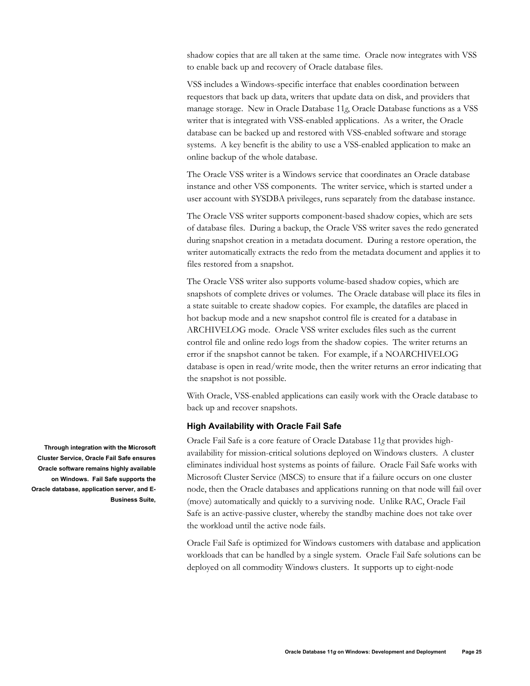shadow copies that are all taken at the same time. Oracle now integrates with VSS to enable back up and recovery of Oracle database files.

VSS includes a Windows-specific interface that enables coordination between requestors that back up data, writers that update data on disk, and providers that manage storage. New in Oracle Database 11*g*, Oracle Database functions as a VSS writer that is integrated with VSS-enabled applications. As a writer, the Oracle database can be backed up and restored with VSS-enabled software and storage systems. A key benefit is the ability to use a VSS-enabled application to make an online backup of the whole database.

The Oracle VSS writer is a Windows service that coordinates an Oracle database instance and other VSS components. The writer service, which is started under a user account with SYSDBA privileges, runs separately from the database instance.

The Oracle VSS writer supports component-based shadow copies, which are sets of database files. During a backup, the Oracle VSS writer saves the redo generated during snapshot creation in a metadata document. During a restore operation, the writer automatically extracts the redo from the metadata document and applies it to files restored from a snapshot.

The Oracle VSS writer also supports volume-based shadow copies, which are snapshots of complete drives or volumes. The Oracle database will place its files in a state suitable to create shadow copies. For example, the datafiles are placed in hot backup mode and a new snapshot control file is created for a database in ARCHIVELOG mode. Oracle VSS writer excludes files such as the current control file and online redo logs from the shadow copies. The writer returns an error if the snapshot cannot be taken. For example, if a NOARCHIVELOG database is open in read/write mode, then the writer returns an error indicating that the snapshot is not possible.

With Oracle, VSS-enabled applications can easily work with the Oracle database to back up and recover snapshots.

#### **High Availability with Oracle Fail Safe**

Oracle Fail Safe is a core feature of Oracle Database 11*g* that provides highavailability for mission-critical solutions deployed on Windows clusters. A cluster eliminates individual host systems as points of failure. Oracle Fail Safe works with Microsoft Cluster Service (MSCS) to ensure that if a failure occurs on one cluster node, then the Oracle databases and applications running on that node will fail over (move) automatically and quickly to a surviving node. Unlike RAC, Oracle Fail Safe is an active-passive cluster, whereby the standby machine does not take over the workload until the active node fails.

Oracle Fail Safe is optimized for Windows customers with database and application workloads that can be handled by a single system. Oracle Fail Safe solutions can be deployed on all commodity Windows clusters. It supports up to eight-node

**Through integration with the Microsoft Cluster Service, Oracle Fail Safe ensures Oracle software remains highly available on Windows. Fail Safe supports the Oracle database, application server, and E-Business Suite,**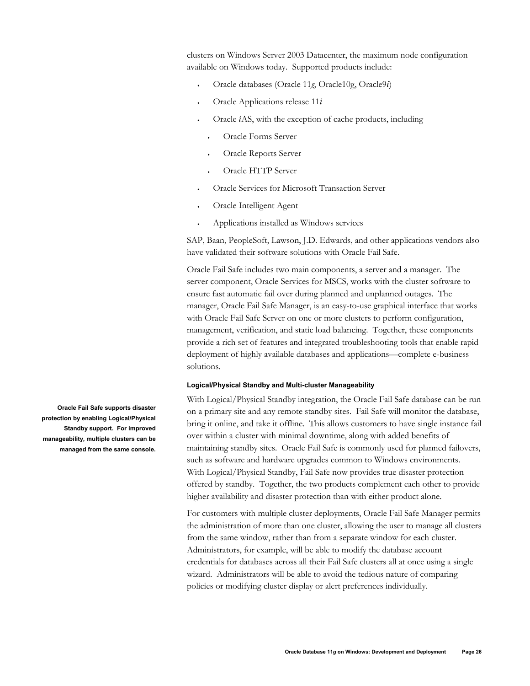clusters on Windows Server 2003 Datacenter, the maximum node configuration available on Windows today. Supported products include:

- Oracle databases (Oracle 11*g*, Oracle10g, Oracle9*i*)
- Oracle Applications release 11*i*
- Oracle *i*AS, with the exception of cache products, including
	- Oracle Forms Server
	- Oracle Reports Server
	- Oracle HTTP Server
- Oracle Services for Microsoft Transaction Server
- Oracle Intelligent Agent
- Applications installed as Windows services

SAP, Baan, PeopleSoft, Lawson, J.D. Edwards, and other applications vendors also have validated their software solutions with Oracle Fail Safe.

Oracle Fail Safe includes two main components, a server and a manager. The server component, Oracle Services for MSCS, works with the cluster software to ensure fast automatic fail over during planned and unplanned outages. The manager, Oracle Fail Safe Manager, is an easy-to-use graphical interface that works with Oracle Fail Safe Server on one or more clusters to perform configuration, management, verification, and static load balancing. Together, these components provide a rich set of features and integrated troubleshooting tools that enable rapid deployment of highly available databases and applications—complete e-business solutions.

### **Logical/Physical Standby and Multi-cluster Manageability**

With Logical/Physical Standby integration, the Oracle Fail Safe database can be run on a primary site and any remote standby sites. Fail Safe will monitor the database, bring it online, and take it offline. This allows customers to have single instance fail over within a cluster with minimal downtime, along with added benefits of maintaining standby sites. Oracle Fail Safe is commonly used for planned failovers, such as software and hardware upgrades common to Windows environments. With Logical/Physical Standby, Fail Safe now provides true disaster protection offered by standby. Together, the two products complement each other to provide higher availability and disaster protection than with either product alone.

For customers with multiple cluster deployments, Oracle Fail Safe Manager permits the administration of more than one cluster, allowing the user to manage all clusters from the same window, rather than from a separate window for each cluster. Administrators, for example, will be able to modify the database account credentials for databases across all their Fail Safe clusters all at once using a single wizard. Administrators will be able to avoid the tedious nature of comparing policies or modifying cluster display or alert preferences individually.

**Oracle Fail Safe supports disaster protection by enabling Logical/Physical Standby support. For improved manageability, multiple clusters can be managed from the same console.**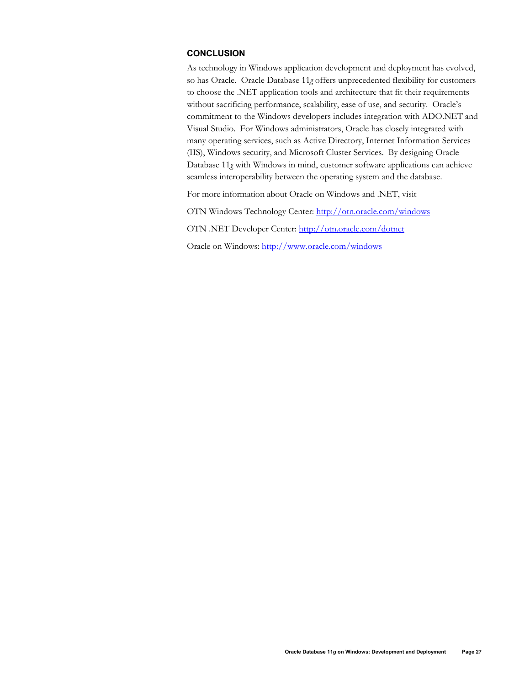# **CONCLUSION**

As technology in Windows application development and deployment has evolved, so has Oracle. Oracle Database 11*g* offers unprecedented flexibility for customers to choose the .NET application tools and architecture that fit their requirements without sacrificing performance, scalability, ease of use, and security. Oracle's commitment to the Windows developers includes integration with ADO.NET and Visual Studio. For Windows administrators, Oracle has closely integrated with many operating services, such as Active Directory, Internet Information Services (IIS), Windows security, and Microsoft Cluster Services. By designing Oracle Database 11*g* with Windows in mind, customer software applications can achieve seamless interoperability between the operating system and the database.

For more information about Oracle on Windows and .NET, visit

OTN Windows Technology Center: http://otn.oracle.com/windows

OTN .NET Developer Center: http://otn.oracle.com/dotnet

Oracle on Windows: http://www.oracle.com/windows